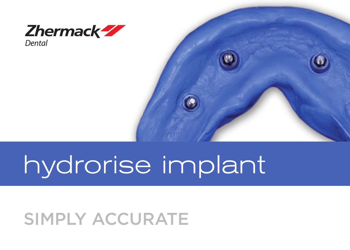

### hydrorise implant

#### SIMPLY ACCURATE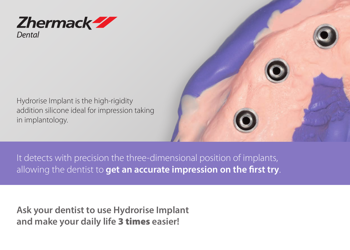

Hydrorise Implant is the high-rigidity addition silicone ideal for impression taking in implantology.



It detects with precision the three-dimensional position of implants, allowing the dentist to **get an accurate impression on the first try**.

**Ask your dentist to use Hydrorise Implant and make your daily life** 3 times **easier!**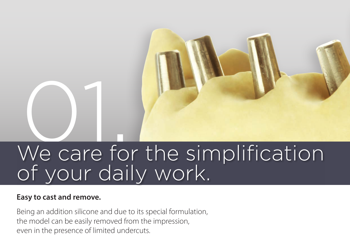# Ne care fo We care for the simplification of your daily work.

#### **Easy to cast and remove.**

Being an addition silicone and due to its special formulation, the model can be easily removed from the impression, even in the presence of limited undercuts.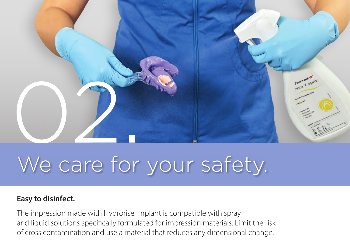

### We care for your safety.

#### **Easy to disinfect.**

The impression made with Hydrorise Implant is compatible with spray and liquid solutions specifically formulated for impression materials. Limit the risk of cross contamination and use a material that reduces any dimensional change.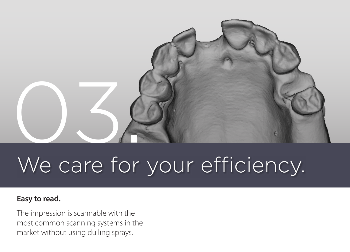

### We care for your efficiency.

#### **Easy to read.**

The impression is scannable with the most common scanning systems in the market without using dulling sprays.